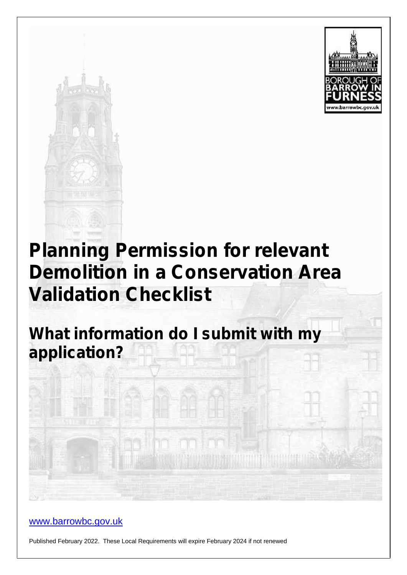



# **Planning Permission for relevant Demolition in a Conservation Area Validation Checklist**

**What information do I submit with my application?**

### www.barrowbc.gov.uk

Published February 2022. These Local Requirements will expire February 2024 if not renewed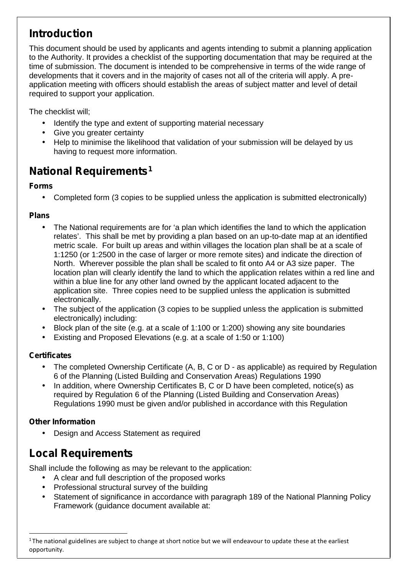## **Introduction**

This document should be used by applicants and agents intending to submit a planning application to the Authority. It provides a checklist of the supporting documentation that may be required at the time of submission. The document is intended to be comprehensive in terms of the wide range of developments that it covers and in the majority of cases not all of the criteria will apply. A pre application meeting with officers should establish the areas of subject matter and level of detail required to support your application.

The checklist will;

- Identify the type and extent of supporting material necessary
- Give you greater certainty
- Help to minimise the likelihood that validation of your submission will be delayed by us having to request more information.

## **National Requirements<sup>1</sup>**

#### **Forms**

Completed form (3 copies to be supplied unless the application is submitted electronically)

#### **Plans**

- The National requirements are for 'a plan which identifies the land to which the application relates'. This shall be met by providing a plan based on an up-to-date map at an identified metric scale. For built up areas and within villages the location plan shall be at a scale of 1:1250 (or 1:2500 in the case of larger or more remote sites) and indicate the direction of North. Wherever possible the plan shall be scaled to fit onto A4 or A3 size paper. The location plan will clearly identify the land to which the application relates within a red line and within a blue line for any other land owned by the applicant located adjacent to the application site. Three copies need to be supplied unless the application is submitted electronically.
- The subject of the application (3 copies to be supplied unless the application is submitted electronically) including:
- Block plan of the site (e.g. at a scale of 1:100 or 1:200) showing any site boundaries
- Existing and Proposed Elevations (e.g. at a scale of 1:50 or 1:100)

#### **Certificates**

- The completed Ownership Certificate (A, B, C or D as applicable) as required by Regulation 6 of the Planning (Listed Building and Conservation Areas) Regulations 1990
- In addition, where Ownership Certificates B, C or D have been completed, notice(s) as required by Regulation 6 of the Planning (Listed Building and Conservation Areas) Regulations 1990 must be given and/or published in accordance with this Regulation

#### **Other Information**

Design and Access Statement as required

## **Local Requirements**

Shall include the following as may be relevant to the application:

- A clear and full description of the proposed works
- Professional structural survey of the building
- Statement of significance in accordance with paragraph 189 of the National Planning Policy Framework (guidance document available at:

<sup>&</sup>lt;sup>1</sup> The national guidelines are subject to change at short notice but we will endeavour to update these at the earliest opportunity.